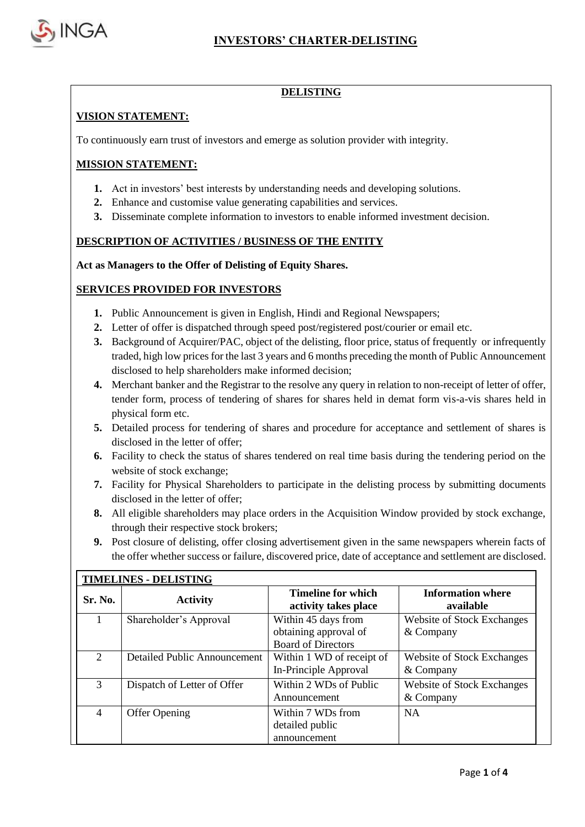

## **DELISTING**

# **VISION STATEMENT:**

To continuously earn trust of investors and emerge as solution provider with integrity.

## **MISSION STATEMENT:**

- **1.** Act in investors' best interests by understanding needs and developing solutions.
- **2.** Enhance and customise value generating capabilities and services.
- **3.** Disseminate complete information to investors to enable informed investment decision.

### **DESCRIPTION OF ACTIVITIES / BUSINESS OF THE ENTITY**

### **Act as Managers to the Offer of Delisting of Equity Shares.**

### **SERVICES PROVIDED FOR INVESTORS**

- **1.** Public Announcement is given in English, Hindi and Regional Newspapers;
- **2.** Letter of offer is dispatched through speed post/registered post/courier or email etc.
- **3.** Background of Acquirer/PAC, object of the delisting, floor price, status of frequently or infrequently traded, high low prices for the last 3 years and 6 months preceding the month of Public Announcement disclosed to help shareholders make informed decision;
- **4.** Merchant banker and the Registrar to the resolve any query in relation to non-receipt of letter of offer, tender form, process of tendering of shares for shares held in demat form vis-a-vis shares held in physical form etc.
- **5.** Detailed process for tendering of shares and procedure for acceptance and settlement of shares is disclosed in the letter of offer;
- **6.** Facility to check the status of shares tendered on real time basis during the tendering period on the website of stock exchange;
- **7.** Facility for Physical Shareholders to participate in the delisting process by submitting documents disclosed in the letter of offer;
- **8.** All eligible shareholders may place orders in the Acquisition Window provided by stock exchange, through their respective stock brokers;
- **9.** Post closure of delisting, offer closing advertisement given in the same newspapers wherein facts of the offer whether success or failure, discovered price, date of acceptance and settlement are disclosed.

| <b>TIMELINES - DELISTING</b> |                              |                                                                           |                                                |  |  |  |
|------------------------------|------------------------------|---------------------------------------------------------------------------|------------------------------------------------|--|--|--|
| Sr. No.                      | <b>Activity</b>              | <b>Timeline for which</b><br>activity takes place                         | <b>Information where</b><br>available          |  |  |  |
|                              | Shareholder's Approval       | Within 45 days from<br>obtaining approval of<br><b>Board of Directors</b> | <b>Website of Stock Exchanges</b><br>& Company |  |  |  |
| $\mathcal{D}_{\mathcal{L}}$  | Detailed Public Announcement | Within 1 WD of receipt of<br>In-Principle Approval                        | <b>Website of Stock Exchanges</b><br>& Company |  |  |  |
| 3                            | Dispatch of Letter of Offer  | Within 2 WDs of Public<br>Announcement                                    | <b>Website of Stock Exchanges</b><br>& Company |  |  |  |
| $\overline{4}$               | <b>Offer Opening</b>         | Within 7 WDs from<br>detailed public<br>announcement                      | <b>NA</b>                                      |  |  |  |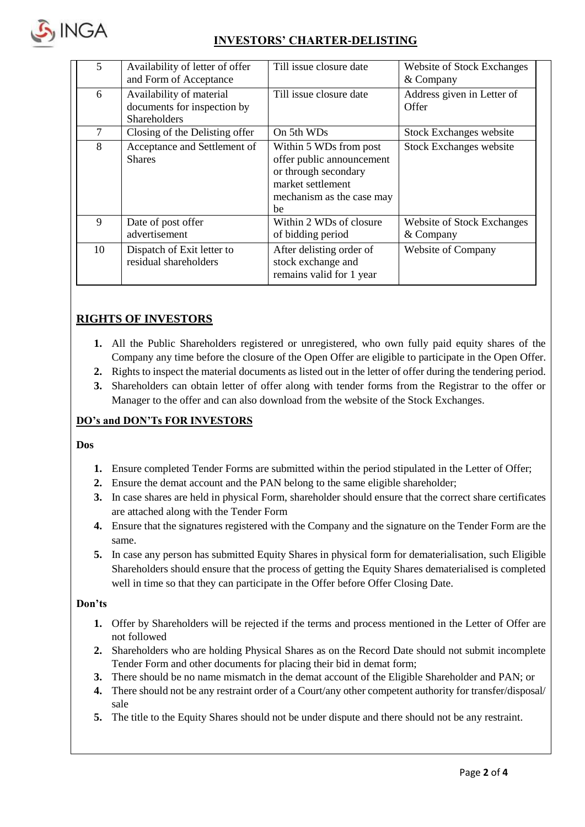

# **INVESTORS' CHARTER-DELISTING**

| 5  | Availability of letter of offer<br>and Form of Acceptance               | Till issue closure date                                                                                                             | Website of Stock Exchanges<br>& Company |
|----|-------------------------------------------------------------------------|-------------------------------------------------------------------------------------------------------------------------------------|-----------------------------------------|
| 6  | Availability of material<br>documents for inspection by<br>Shareholders | Till issue closure date                                                                                                             | Address given in Letter of<br>Offer     |
| 7  | Closing of the Delisting offer                                          | On 5th WDs                                                                                                                          | <b>Stock Exchanges website</b>          |
| 8  | Acceptance and Settlement of<br><b>Shares</b>                           | Within 5 WDs from post<br>offer public announcement<br>or through secondary<br>market settlement<br>mechanism as the case may<br>be | <b>Stock Exchanges website</b>          |
| 9  | Date of post offer<br>advertisement                                     | Within 2 WDs of closure<br>of bidding period                                                                                        | Website of Stock Exchanges<br>& Company |
| 10 | Dispatch of Exit letter to<br>residual shareholders                     | After delisting order of<br>stock exchange and<br>remains valid for 1 year                                                          | <b>Website of Company</b>               |

# **RIGHTS OF INVESTORS**

- **1.** All the Public Shareholders registered or unregistered, who own fully paid equity shares of the Company any time before the closure of the Open Offer are eligible to participate in the Open Offer.
- **2.** Rights to inspect the material documents as listed out in the letter of offer during the tendering period.
- **3.** Shareholders can obtain letter of offer along with tender forms from the Registrar to the offer or Manager to the offer and can also download from the website of the Stock Exchanges.

# **DO's and DON'Ts FOR INVESTORS**

### **Dos**

- **1.** Ensure completed Tender Forms are submitted within the period stipulated in the Letter of Offer;
- **2.** Ensure the demat account and the PAN belong to the same eligible shareholder;
- **3.** In case shares are held in physical Form, shareholder should ensure that the correct share certificates are attached along with the Tender Form
- **4.** Ensure that the signatures registered with the Company and the signature on the Tender Form are the same.
- **5.** In case any person has submitted Equity Shares in physical form for dematerialisation, such Eligible Shareholders should ensure that the process of getting the Equity Shares dematerialised is completed well in time so that they can participate in the Offer before Offer Closing Date.

### **Don'ts**

- **1.** Offer by Shareholders will be rejected if the terms and process mentioned in the Letter of Offer are not followed
- **2.** Shareholders who are holding Physical Shares as on the Record Date should not submit incomplete Tender Form and other documents for placing their bid in demat form;
- **3.** There should be no name mismatch in the demat account of the Eligible Shareholder and PAN; or
- **4.** There should not be any restraint order of a Court/any other competent authority for transfer/disposal/ sale
- **5.** The title to the Equity Shares should not be under dispute and there should not be any restraint.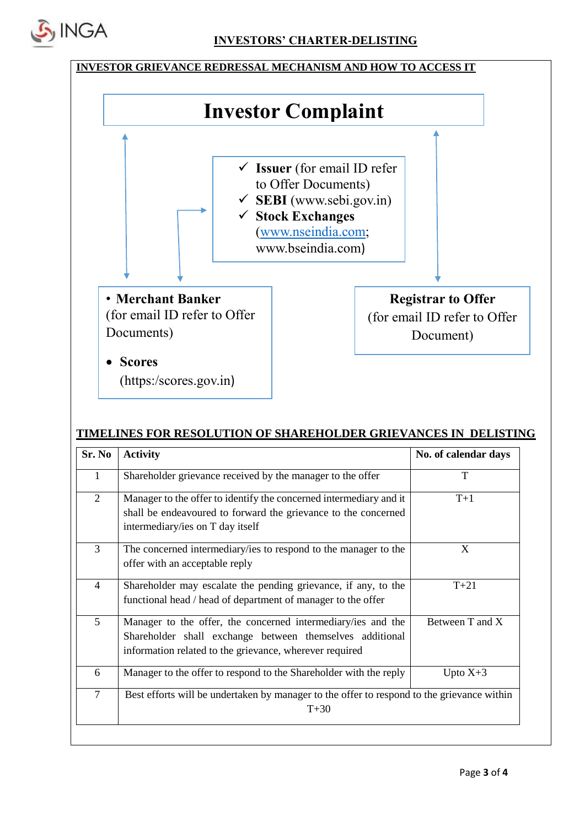



# **TIMELINES FOR RESOLUTION OF SHAREHOLDER GRIEVANCES IN DELISTING**

| Sr. No         | <b>Activity</b>                                                                                                                                                                     | No. of calendar days |  |
|----------------|-------------------------------------------------------------------------------------------------------------------------------------------------------------------------------------|----------------------|--|
| 1              | Shareholder grievance received by the manager to the offer                                                                                                                          | T                    |  |
| $\overline{2}$ | Manager to the offer to identify the concerned intermediary and it<br>shall be endeavoured to forward the grievance to the concerned<br>intermediary/ies on T day itself            | $T+1$                |  |
| 3              | The concerned intermediary/ies to respond to the manager to the<br>offer with an acceptable reply                                                                                   | X                    |  |
| $\overline{4}$ | Shareholder may escalate the pending grievance, if any, to the<br>functional head / head of department of manager to the offer                                                      | $T+21$               |  |
| 5              | Manager to the offer, the concerned intermediary/ies and the<br>Shareholder shall exchange between themselves additional<br>information related to the grievance, wherever required | Between T and X      |  |
| 6              | Manager to the offer to respond to the Shareholder with the reply                                                                                                                   | Upto $X+3$           |  |
| $\overline{7}$ | Best efforts will be undertaken by manager to the offer to respond to the grievance within<br>$T+30$                                                                                |                      |  |